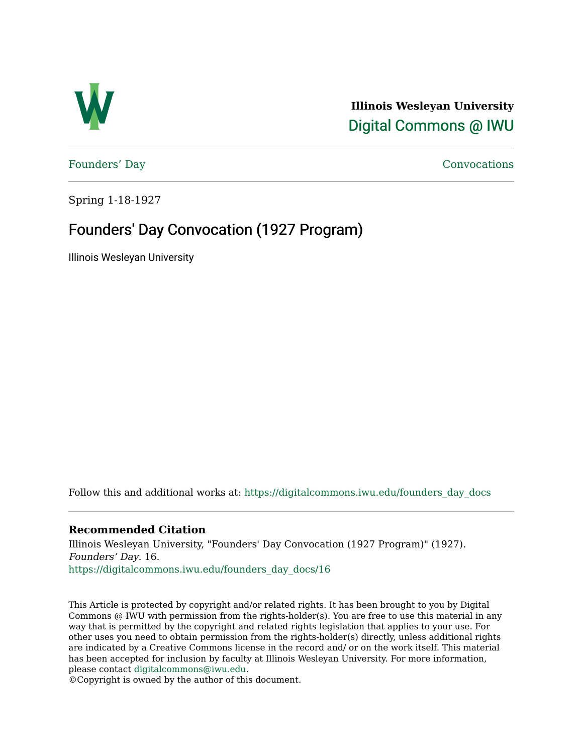

**Illinois Wesleyan University**  [Digital Commons @ IWU](https://digitalcommons.iwu.edu/) 

[Founders' Day](https://digitalcommons.iwu.edu/founders_day_docs) [Convocations](https://digitalcommons.iwu.edu/convocations_docs) 

Spring 1-18-1927

## Founders' Day Convocation (1927 Program)

Illinois Wesleyan University

Follow this and additional works at: [https://digitalcommons.iwu.edu/founders\\_day\\_docs](https://digitalcommons.iwu.edu/founders_day_docs?utm_source=digitalcommons.iwu.edu%2Ffounders_day_docs%2F16&utm_medium=PDF&utm_campaign=PDFCoverPages) 

## **Recommended Citation**

Illinois Wesleyan University, "Founders' Day Convocation (1927 Program)" (1927). Founders' Day. 16. [https://digitalcommons.iwu.edu/founders\\_day\\_docs/16](https://digitalcommons.iwu.edu/founders_day_docs/16?utm_source=digitalcommons.iwu.edu%2Ffounders_day_docs%2F16&utm_medium=PDF&utm_campaign=PDFCoverPages)

This Article is protected by copyright and/or related rights. It has been brought to you by Digital Commons @ IWU with permission from the rights-holder(s). You are free to use this material in any way that is permitted by the copyright and related rights legislation that applies to your use. For other uses you need to obtain permission from the rights-holder(s) directly, unless additional rights are indicated by a Creative Commons license in the record and/ or on the work itself. This material has been accepted for inclusion by faculty at Illinois Wesleyan University. For more information, please contact [digitalcommons@iwu.edu.](mailto:digitalcommons@iwu.edu)

©Copyright is owned by the author of this document.